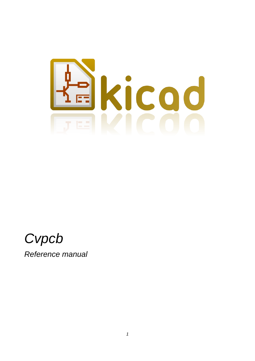



*Reference manual*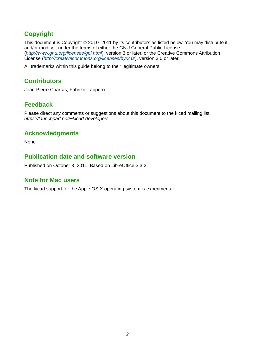## **Copyright**

This document is Copyright © 2010–2011 by its contributors as listed below. You may distribute it and/or modify it under the terms of either the GNU General Public License (*<http://www.gnu.org/licenses/gpl.html>*), version 3 or later, or the Creative Commons Attribution License (*<http://creativecommons.org/licenses/by/3.0/>*), version 3.0 or later.

All trademarks within this guide belong to their legitimate owners.

## **Contributors**

Jean-Pierre Charras, Fabrizio Tappero.

## **Feedback**

Please direct any comments or suggestions about this document to the kicad mailing list: *https://launchpad.net/~kicad-developers*

## **Acknowledgments**

None

### **Publication date and software version**

Published on October 3, 2011. Based on LibreOffice 3.3.2.

#### **Note for Mac users**

The kicad support for the Apple OS X operating system is experimental.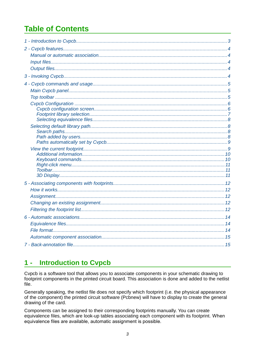# **Table of Contents**

#### <span id="page-2-0"></span>**Introduction to Cvpcb**  $1 -$

Cvpcb is a software tool that allows you to associate components in your schematic drawing to footprint components in the printed circuit board. This association is done and added to the netlist file.

Generally speaking, the netlist file does not specify which footprint (i.e. the physical appearance of the component) the printed circuit software (Pcbnew) will have to display to create the general drawing of the card.

Components can be assigned to their corresponding footprints manually. You can create equivalence files, which are look-up tables associating each component with its footprint. When equivalence files are available, automatic assignment is possible.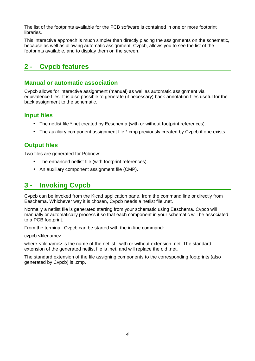The list of the footprints available for the PCB software is contained in one or more footprint libraries*.*

This interactive approach is much simpler than directly placing the assignments on the schematic, because as well as allowing automatic assignment, Cvpcb, allows you to see the list of the footprints available, and to display them on the screen.

## <span id="page-3-4"></span>**2 - Cvpcb features**

#### <span id="page-3-3"></span>**Manual or automatic association**

Cvpcb allows for interactive assignment (manual) as well as automatic assignment via equivalence files. It is also possible to generate (if necessary) back-annotation files useful for the back assignment to the schematic.

#### <span id="page-3-2"></span>**Input files**

- The netlist file \*.net created by Eeschema (with or without footprint references).
- The auxiliary component assignment file \*.cmp previously created by Cvpcb if one exists.

## <span id="page-3-1"></span>**Output files**

Two files are generated for Pcbnew:

- The enhanced netlist file (with footprint references).
- An auxiliary component assignment file (CMP).

## <span id="page-3-0"></span>**3 - Invoking Cvpcb**

Cvpcb can be invoked from the Kicad application pane, from the command line or directly from Eeschema. Whichever way it is chosen, Cvpcb needs a netlist file .net.

Normally a netlist file is generated starting from your schematic using Eeschema. Cvpcb will manually or automatically process it so that each component in your schematic will be associated to a PCB footprint.

From the terminal, Cvpcb can be started with the in-line command:

cvpcb <filename>

where <filename> is the name of the netlist, with or without extension .net. The standard extension of the generated netlist file is .net, and will replace the old .net.

The standard extension of the file assigning components to the corresponding footprints (also generated by Cvpcb) is .cmp.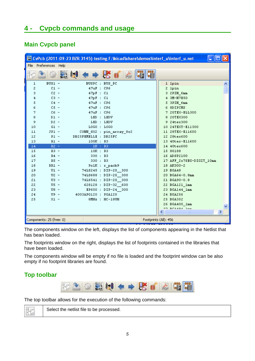## <span id="page-4-2"></span>**4 - Cvpcb commands and usage**

## <span id="page-4-1"></span>**Main Cvpcb panel**

|      |                          |                          | CvPcb (2011-09-23 BZR 3145)-testing F: Voicad share \demos \interf_u \interf_u.net |  |
|------|--------------------------|--------------------------|------------------------------------------------------------------------------------|--|
| File | Preferences Help         |                          |                                                                                    |  |
|      |                          | ※ ◆ → B 1 ☆              |                                                                                    |  |
| ı    | $BUS1 -$                 | BUSPC : BUS_PC           | 1 lpin                                                                             |  |
| 2    | $C1 -$                   | 47uF : CP6               | 2 lpin                                                                             |  |
| 3    | $C2 -$                   | $47pF$ : $C1$            | 3 2PIN 6mm                                                                         |  |
| 4    | $C3 -$                   | $47pF$ : $C1$            | 4 3M-N7E50                                                                         |  |
| 5    | $C4 -$                   | 47uF : CP6               | 5 SPIN 6mm                                                                         |  |
| 6    | $CS -$                   | 47uF : CP6               | 6 SDIPCMS                                                                          |  |
| 7    | $C6 -$                   | 47uF : CP6               | 7 20TEX-ELL300                                                                     |  |
| 8    | $DI -$                   | LED : LEDV               | 8 20TEX300                                                                         |  |
| 9    | $D2 -$                   | LED : LEDV               | 9 24tex300                                                                         |  |
| 10   | $GL -$                   | L0G0 : L0G0              | 10 24TEXT-E11300                                                                   |  |
| 11   | $JPI -$                  | CONN_8X2 : pin_array_8x2 | 11 28TEX-E11600                                                                    |  |
| 12   | $PI -$                   | DB25FEMELLE : DB25FC     | 12 28tex600                                                                        |  |
| 13   | $R1 -$                   | 100K : R3                | 13 40tex-E11600                                                                    |  |
| 14   | $R2 -$                   | 1K : R3                  | 14 40tex600                                                                        |  |
| 15   | $R3 -$                   | 10K : R3                 | 15 80188                                                                           |  |
| 16   | $R4 -$                   | 330 : R3                 | 16 ADSP2100                                                                        |  |
| 17   | $RS -$                   | 330 : R3                 | 17 AFF 2x7SEG-DIGIT 10mm                                                           |  |
| 18   | $RR1 -$                  | 9x1K : r pack9           | 18 AK300-2                                                                         |  |
| 19   | $UI -$                   | 74LS245 : DIP-20 300     | 19 BGA48                                                                           |  |
| 20   | $U2 -$                   | 74LS688 : DIP-20 300     | 20 BGA64-0.8mm                                                                     |  |
| 21   | $U3 -$                   | 74LS541 : DIP-20 300     | 21 BGA90-0.8                                                                       |  |
| 22   | $US -$                   | 628128 : DIP-32 600      | 22 BGA121 1mm                                                                      |  |
| 23   | $US -$                   | EP600 : DIP-24 300       | 23 BGA144 1mm                                                                      |  |
| 24   | $U9 -$                   | 4003APG120 : PGA120      | 24 BGA256                                                                          |  |
| 25   | $X1 -$                   | 8MHz : HC-18UH           | 25 BGA352                                                                          |  |
|      |                          |                          | 26 BGA400 1mm                                                                      |  |
|      |                          |                          | 27 DOMAOA 1mm<br><b>TITLE</b>                                                      |  |
|      | Components: 25 (free: 0) |                          | Footprints (All): 456                                                              |  |

The components window on the left, displays the list of components appearing in the Netlist that has bean loaded.

The footprints window on the right, displays the list of footprints contained in the libraries that have been loaded.

The components window will be empty if no file is loaded and the footprint window can be also empty if no footprint libraries are found.

## <span id="page-4-0"></span>**Top toolbar**



The top toolbar allows for the execution of the following commands:



Select the netlist file to be processed.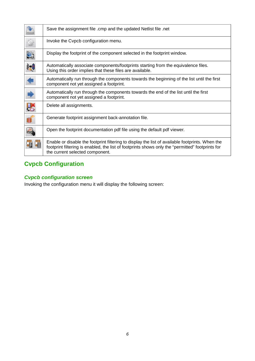|   | Save the assignment file .cmp and the updated Netlist file .net                                                                                                                                                                        |
|---|----------------------------------------------------------------------------------------------------------------------------------------------------------------------------------------------------------------------------------------|
| Ò | Invoke the Cvpcb configuration menu.                                                                                                                                                                                                   |
|   | Display the footprint of the component selected in the footprint window.                                                                                                                                                               |
|   | Automatically associate components/footprints starting from the equivalence files.<br>Using this order implies that these files are available.                                                                                         |
| ŧ | Automatically run through the components towards the beginning of the list until the first<br>component not yet assigned a footprint.                                                                                                  |
| ◆ | Automatically run through the components towards the end of the list until the first<br>component not yet assigned a footprint.                                                                                                        |
|   | Delete all assignments.                                                                                                                                                                                                                |
|   | Generate footprint assignment back-annotation file.                                                                                                                                                                                    |
|   | Open the footprint documentation pdf file using the default pdf viewer.                                                                                                                                                                |
|   | Enable or disable the footprint filtering to display the list of available footprints. When the<br>footprint filtering is enabled, the list of footprints shows only the "permitted" footprints for<br>the current selected component. |

## <span id="page-5-1"></span>**Cvpcb Configuration**

## <span id="page-5-0"></span>*Cvpcb configuration screen*

Invoking the configuration menu it will display the following screen: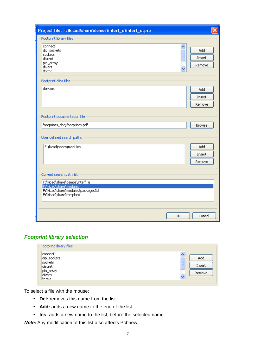| Project file: F:Wicad\share\demos\interf_u\interf_u.pro                                                                 |                                   |
|-------------------------------------------------------------------------------------------------------------------------|-----------------------------------|
| Footprint library files                                                                                                 |                                   |
| connect<br>dip_sockets<br>sockets<br>discret<br>pin_array<br>divers<br>liheme                                           | ۸<br>Add<br>E<br>Insert<br>Remove |
| Footprint alias files                                                                                                   |                                   |
| devcms                                                                                                                  | Add<br>Insert<br>Remove           |
| Footprint documentation file                                                                                            |                                   |
| footprints_doc/footprints.pdf                                                                                           | <b>Browse</b>                     |
| User defined search paths                                                                                               |                                   |
| F:\kicad\share\modules                                                                                                  | Add<br>Insert<br>Remove           |
| Current search path list                                                                                                |                                   |
| F:\kicad\share\demos\interf_u<br>F:\kicad\share\modules<br>F:\kicad\share\modules\packages3d<br>F:\kicad\share\template |                                   |
|                                                                                                                         | Cancel<br>OK                      |

#### <span id="page-6-0"></span>*Footprint library selection*

| Footprint library files |   |        |
|-------------------------|---|--------|
| connect                 |   |        |
| dip_sockets             |   | Add    |
| sockets                 | E |        |
| discret                 |   | Insert |
| pin_array               |   | Remove |
| divers                  | v |        |
| liheme                  |   |        |

To select a file with the mouse:

- **Del:** removes this name from the list.
- **Add:** adds a new name to the end of the list.
- **Ins:** adds a new name to the list, before the selected name.

*Note:* Any modification of this list also affects Pcbnew.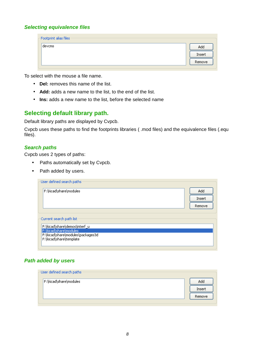#### <span id="page-7-3"></span>*Selecting equivalence files*

| devcms<br>Add | Footprint alias files |        |
|---------------|-----------------------|--------|
|               |                       |        |
|               |                       | Insert |
|               |                       | Remove |

To select with the mouse a file name.

- **Del:** removes this name of the list.
- **Add:** adds a new name to the list, to the end of the list.
- **Ins:** adds a new name to the list, before the selected name

### <span id="page-7-2"></span>**Selecting default library path.**

Default library paths are displayed by Cvpcb.

Cvpcb uses these paths to find the footprints libraries ( .mod files) and the equivalence files (.equ files).

#### <span id="page-7-1"></span>*Search paths*

Cvpcb uses 2 types of paths:

- Paths automatically set by Cvpcb.
- Path added by users.

| User defined search paths                                                                                                                           |        |
|-----------------------------------------------------------------------------------------------------------------------------------------------------|--------|
| F:\kicad\share\modules                                                                                                                              | Add    |
|                                                                                                                                                     | Insert |
|                                                                                                                                                     | Remove |
| Current search path list<br>F:\kicad\share\demos\interf_u<br>F:\kicad\share\modules<br>F:\kicad\share\modules\packages3d<br>F:\kicad\share\template |        |

#### <span id="page-7-0"></span>*Path added by users*

| User defined search paths: |        |
|----------------------------|--------|
| F:\kicad\share\modules     | Add    |
|                            | Insert |
|                            | Remove |
|                            |        |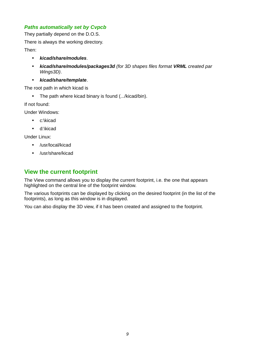#### <span id="page-8-1"></span>*Paths automatically set by Cvpcb*

They partially depend on the D.O.S.

There is always the working directory.

Then:

- *kicad/share/modules*.
- *kicad/share/modules/packages3d (for 3D shapes files format VRML created par Wings3D)*.
- *kicad/share/template*.

The root path in which kicad is

• The path where kicad binary is found (.../kicad/bin).

If not found:

Under Windows:

- c:\kicad
- d:\kicad

Under Linux:

- /usr/local/kicad
- /usr/share/kicad

### <span id="page-8-0"></span>**View the current footprint**

The View command allows you to display the current footprint, i.e. the one that appears highlighted on the central line of the footprint window.

The various footprints can be displayed by clicking on the desired footprint (in the list of the footprints), as long as this window is in displayed.

You can also display the 3D view, if it has been created and assigned to the footprint.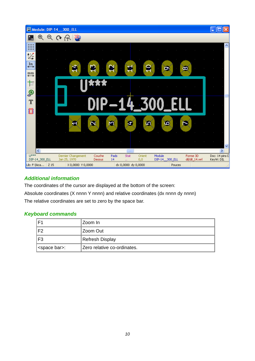| Module: DIP-14_300_ELL                                                                         |          |                   |                                    |                  |            |                                    |               |        |                |                            | 11 0<br>н                   |             |
|------------------------------------------------------------------------------------------------|----------|-------------------|------------------------------------|------------------|------------|------------------------------------|---------------|--------|----------------|----------------------------|-----------------------------|-------------|
| $^\circledR$                                                                                   | $\Theta$ | $\mathbf{\Omega}$ | $R$ $3D$                           |                  |            |                                    |               |        |                |                            |                             |             |
|                                                                                                |          |                   |                                    |                  |            |                                    |               |        |                |                            |                             |             |
| 饺                                                                                              |          |                   |                                    |                  |            |                                    |               |        |                |                            |                             |             |
| $\overset{\text{In}}{\longleftrightarrow}$<br>$\overset{\textnormal{mm}}{\longleftrightarrow}$ |          |                   |                                    |                  |            |                                    |               |        |                | œ                          |                             |             |
| 卞                                                                                              |          |                   |                                    |                  |            |                                    |               |        |                |                            |                             |             |
| O <sub>®</sub>                                                                                 |          |                   |                                    |                  |            |                                    |               |        |                |                            |                             |             |
| T<br>Ũ                                                                                         |          |                   |                                    |                  |            |                                    |               |        |                |                            |                             |             |
|                                                                                                |          |                   | G.                                 | м                |            | ×                                  | Ю             |        | œ              |                            |                             |             |
|                                                                                                |          |                   |                                    |                  |            |                                    |               |        |                |                            |                             |             |
|                                                                                                |          |                   |                                    |                  |            |                                    |               |        |                |                            |                             | $\ddotmark$ |
| $\overline{\left( \cdot \right)}$                                                              |          |                   |                                    |                  |            | $\parallel$ IIII                   |               |        |                |                            |                             | ×           |
| $U^{***}$<br>DIP-14_300_ELL                                                                    |          |                   | Dernier Changement<br>Jan 25, 1970 | Couche<br>Dessus | Pads<br>14 | Stat<br>$\mathcal{L}(\mathcal{C})$ | Orient<br>0,0 | Module | DIP-14_300_ELL | Forme 3D<br>dil/dil_14.wrl | Doc: 14 pins D<br>KeyW: DIL |             |
| Lib: F:\kica 2 15                                                                              |          |                   | X 0,0000 Y 0,0000                  |                  |            | dx 0,0000 dy 0,0000                |               |        | Pouces         |                            |                             |             |

### <span id="page-9-1"></span>*Additional information*

The coordinates of the cursor are displayed at the bottom of the screen:

Absolute coordinates (X nnnn Y nnnn) and relative coordinates (dx nnnn dy nnnn)

The relative coordinates are set to zero by the space bar.

#### <span id="page-9-0"></span>*Keyboard commands*

| F <sub>1</sub>          | Zoom In                     |  |
|-------------------------|-----------------------------|--|
| F <sub>2</sub>          | Zoom Out                    |  |
| F <sub>3</sub>          | <b>Refresh Display</b>      |  |
| <space bar="">:</space> | Zero relative co-ordinates. |  |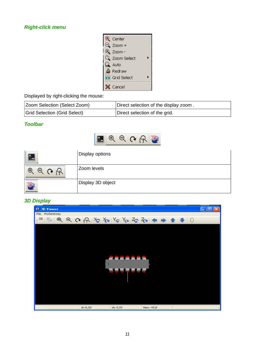#### <span id="page-10-2"></span>*Right-click menu*



Displayed by right-clicking the mouse:

| Zoom Selection (Select Zoom) | Direct selection of the display zoom. |
|------------------------------|---------------------------------------|
| Grid Selection (Grid Select) | Direct selection of the grid.         |

#### <span id="page-10-1"></span>*Toolbar*



|                           | Display options   |
|---------------------------|-------------------|
| <b>C</b><br>$\Theta$<br>Ψ | Zoom levels       |
|                           | Display 3D object |

#### <span id="page-10-0"></span>*3D Display*

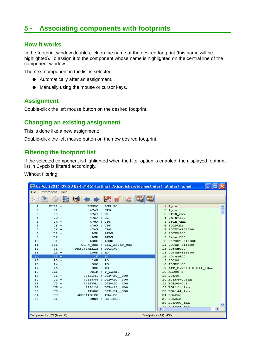## <span id="page-11-4"></span>**5 - Associating components with footprints**

#### <span id="page-11-3"></span>**How it works**

In the footprint window double-click on the name of the desired footprint (this name will be highlighted). To assign it to the component whose name is highlighted on the central line of the component window.

The next component in the list is selected:

- Automatically after an assignment.
- Manually using the mouse or cursor keys.

#### <span id="page-11-2"></span>**Assignment**

Double-click the left mouse button on the desired footprint.

#### <span id="page-11-1"></span>**Changing an existing assignment**

This is done like a new assignment:

Double-click the left mouse button on the new desired footprint.

### <span id="page-11-0"></span>**Filtering the footprint list**

If the selected component is highlighted when the filter option is enabled, the displayed footprint list in Cvpcb is filtered accordingly.

Without filtering:

|                       |                                                   | CvPcb (2011-09-23 BZR 3145)-testing F: Vsicad share \demos \interf_u\interf_u.net |                            |  |  |  |  |  |
|-----------------------|---------------------------------------------------|-----------------------------------------------------------------------------------|----------------------------|--|--|--|--|--|
| File Preferences Help |                                                   |                                                                                   |                            |  |  |  |  |  |
|                       |                                                   | ◆ → 长 ■                                                                           |                            |  |  |  |  |  |
| ı                     | $BUS1 -$                                          | BUSPC : BUS PC                                                                    | 1 lpin                     |  |  |  |  |  |
| z                     | $CL -$                                            | 47uF : CP6                                                                        | 2 lpin                     |  |  |  |  |  |
| з                     | $C2 -$                                            | $47pF$ : $C1$                                                                     | 3 2PIN 6mm                 |  |  |  |  |  |
| 4                     | $C3 -$                                            | $47pF$ : $C1$                                                                     | 4 3M-N7E50                 |  |  |  |  |  |
| 5                     | $C4 -$                                            | $47uF$ : CP6                                                                      | 5 SPIN 6mm                 |  |  |  |  |  |
| 6                     | $CS =$                                            | 47uF : CP6                                                                        | 6 8DIPCMS                  |  |  |  |  |  |
| 7                     | $C6 -$                                            | 47uF : CP6                                                                        | 7 20TEX-ELL300             |  |  |  |  |  |
| 8                     | $DI -$                                            | LED : LEDV                                                                        | 8 20TEX300                 |  |  |  |  |  |
| э                     | $D2 -$                                            | LED : LEDV                                                                        | 9 24tex300                 |  |  |  |  |  |
| 10                    | $GL -$                                            | LOGO:LOGO                                                                         | 10 24TEXT-E11300           |  |  |  |  |  |
| 11                    | $JPI -$                                           | CONN 8X2 : pin array 8x2                                                          | 11 28TEX-E11600            |  |  |  |  |  |
| 12                    | $PL -$                                            | DB25FEMELLE : DB25FC                                                              | 12 28tex600                |  |  |  |  |  |
| 13                    | $R1 -$                                            | 100K : R3                                                                         | 13 40tex-E11600            |  |  |  |  |  |
| 14                    | $R2 -$                                            | 1K : R3                                                                           | 14 40tex600                |  |  |  |  |  |
| 15                    | $R3 -$                                            | 10K : R3                                                                          | 15 80188                   |  |  |  |  |  |
| 16                    | $R4 -$                                            | 330 : R3                                                                          | 16 ADSP2100                |  |  |  |  |  |
| 17                    | $RS =$                                            | 330 : R3                                                                          | 17 AFF_2x7SEG-DIGIT_10mm   |  |  |  |  |  |
| 18                    | $RR1 -$                                           | 9x1K : r pack9                                                                    | 18 AK300-2                 |  |  |  |  |  |
| 19                    | $UL -$                                            | 74LS245 : DIP-20 300                                                              | 19 BGA48                   |  |  |  |  |  |
| 20                    | $U2 -$                                            | 74LS688 : DIP-20 300                                                              | 20 BGA64-0.8mm             |  |  |  |  |  |
| 21                    | $\mathbf{U}3 -$                                   | 74LS541 : DIP-20 300                                                              | 21 BGA90-0.8               |  |  |  |  |  |
| 22                    | $US -$                                            | 628128 : DIP-32 600                                                               | 22 BGA121_1mm              |  |  |  |  |  |
| 23                    | $US -$                                            | EP600 : DIP-24 300                                                                | 23 BGA144 1mm              |  |  |  |  |  |
| 24                    | $U9 -$<br>$X1 -$                                  | 4003APG120 : PGA120                                                               | 24 BGA256                  |  |  |  |  |  |
| 25                    |                                                   | SMHz: HC-18UH                                                                     | 25 BGA352<br>26 BGA400 1mm |  |  |  |  |  |
|                       |                                                   |                                                                                   | 27 DEMAOA 1mm              |  |  |  |  |  |
|                       |                                                   |                                                                                   | Ш                          |  |  |  |  |  |
|                       | Components: 25 (free: 0)<br>Footprints (All): 456 |                                                                                   |                            |  |  |  |  |  |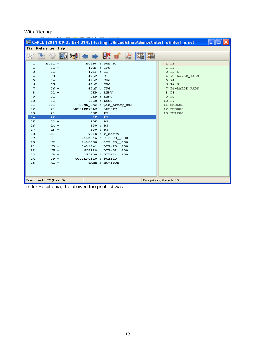#### With filtering:

|                                                       |                   |  |                      |                                        |   | CvPcb (2011-09-23 BZR 3145)-testing F: Wicad share \demos \interf_u\interf_u.net |  |
|-------------------------------------------------------|-------------------|--|----------------------|----------------------------------------|---|----------------------------------------------------------------------------------|--|
| File                                                  | Preferences Help  |  |                      |                                        |   |                                                                                  |  |
|                                                       |                   |  |                      | $\leftrightarrow$ $\mathbb{R}$ if or   | 曊 |                                                                                  |  |
| ı                                                     | $BUS1 -$          |  | BUSPC : BUS PC       |                                        |   | 1 R1                                                                             |  |
| 2                                                     | $CL -$            |  | 47uF : CPG           |                                        |   | 2 R3                                                                             |  |
| з                                                     | $C2 -$            |  | 47pF : C1            |                                        |   | $3 R3 - 5$                                                                       |  |
| 4                                                     | $C3 -$            |  | $47pF$ : $C1$        |                                        |   | 4 R3-LARGE PADS                                                                  |  |
| 5                                                     | $C4 -$            |  | $47uF$ : CP6         |                                        |   | 5 R4                                                                             |  |
| 6                                                     | $CS -$            |  | 47uF : CP6           |                                        |   | $6 R4 - 5$                                                                       |  |
| 7                                                     | $C6 -$            |  | 47uF : CP6           |                                        |   | 7 R4-LARGE PADS                                                                  |  |
| 8                                                     | $DI -$            |  | LED : LEDV           |                                        |   | R <sub>5</sub><br>8                                                              |  |
| 9                                                     | $D2 -$            |  | LED : LEDV           |                                        |   | 9 R6                                                                             |  |
| 10                                                    | $GL -$            |  | L0G0 : L0G0          |                                        |   | 10 R7                                                                            |  |
| 11                                                    | $JPL -$           |  |                      | CONN 8X2 : pin array 8x2               |   | 11 SM0603                                                                        |  |
| 12                                                    | $PL -$            |  | DB25FEMELLE : DB25FC |                                        |   | 12 SM0805                                                                        |  |
| 13                                                    | $R1 -$            |  | 100K : R3            |                                        |   | 13 SM1206                                                                        |  |
| 14                                                    | $R2 -$            |  | $1K$ : R3            |                                        |   |                                                                                  |  |
| 15                                                    | $R3 -$            |  | 10K : R3             |                                        |   |                                                                                  |  |
| 16                                                    | $R4 -$            |  | 330 : R3             |                                        |   |                                                                                  |  |
| 17<br>18                                              | $RS =$            |  | 330 : R3             |                                        |   |                                                                                  |  |
| 19                                                    | $RRL -$<br>$UL -$ |  |                      | 9x1K : r pack9<br>74LS245 : DIP-20 300 |   |                                                                                  |  |
| 20                                                    | $U2 -$            |  |                      | 74LS688 : DIP-20 300                   |   |                                                                                  |  |
| 21                                                    | $U3 -$            |  |                      | 74LS541 : DIP-20 300                   |   |                                                                                  |  |
| 22                                                    | $US -$            |  |                      | 628128 : DIP-32 600                    |   |                                                                                  |  |
| 23                                                    | $US -$            |  |                      | EP600 : DIP-24 300                     |   |                                                                                  |  |
| 24                                                    | $U9 -$            |  | 4003APG120 : PGA120  |                                        |   |                                                                                  |  |
| 25                                                    | $X1 -$            |  |                      | $8MHz$ : $HC-18UH$                     |   |                                                                                  |  |
|                                                       |                   |  |                      |                                        |   |                                                                                  |  |
| Footprints (filtered): 13<br>Components: 25 (free: 0) |                   |  |                      |                                        |   |                                                                                  |  |
| Lliedau Esselsanea, tha allawad fastwick list u       |                   |  |                      |                                        |   |                                                                                  |  |

Under Eeschema, the allowed footprint list was: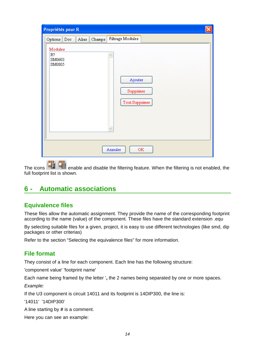| Propriétés pour R                                                                              |  |  |  |  |  |  |  |  |
|------------------------------------------------------------------------------------------------|--|--|--|--|--|--|--|--|
| Filtrage Modules<br>Alias<br>Champs<br>Options Doc                                             |  |  |  |  |  |  |  |  |
| Modules<br>$R$ ?<br>SM0603<br>SM0805<br>Ajouter<br>Supprimer<br>Tout Supprimer<br>$\checkmark$ |  |  |  |  |  |  |  |  |
| Annuler<br>OK                                                                                  |  |  |  |  |  |  |  |  |

The icons  $\overline{B}$   $\overline{B}$   $\overline{B}$  enable and disable the filtering feature. When the filtering is not enabled, the full footprint list is shown.

## <span id="page-13-2"></span>**6 - Automatic associations**

## <span id="page-13-1"></span>**Equivalence files**

These files allow the automatic assignment. They provide the name of the corresponding footprint according to the name (value) of the component. These files have the standard extension .equ

By selecting suitable files for a given, project, it is easy to use different technologies (like smd, dip packages or other criterias)

Refer to the section "Selecting the equivalence files" for more information.

## <span id="page-13-0"></span>**File format**

They consist of a line for each component. Each line has the following structure:

'component value' 'footprint name'

Each name being framed by the letter '**,** the 2 names being separated by one or more spaces.

*Example:*

If the U3 component is circuit 14011 and its footprint is 14DIP300, the line is:

'14011' '14DIP300'

A line starting by **#** is a comment.

Here you can see an example: